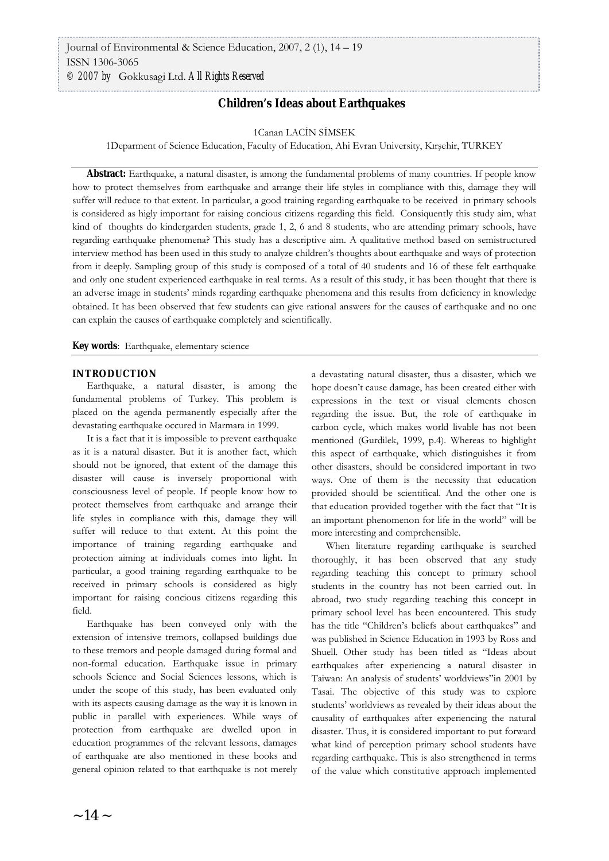# **Children's Ideas about Earthquakes**

#### 1Canan LACİN SİMSEK

1Deparment of Science Education, Faculty of Education, Ahi Evran University, Kırşehir, TURKEY

**Abstract:** Earthquake, a natural disaster, is among the fundamental problems of many countries. If people know how to protect themselves from earthquake and arrange their life styles in compliance with this, damage they will suffer will reduce to that extent. In particular, a good training regarding earthquake to be received in primary schools is considered as higly important for raising concious citizens regarding this field. Consiquently this study aim, what kind of thoughts do kindergarden students, grade 1, 2, 6 and 8 students, who are attending primary schools, have regarding earthquake phenomena? This study has a descriptive aim. A qualitative method based on semistructured interview method has been used in this study to analyze children's thoughts about earthquake and ways of protection from it deeply. Sampling group of this study is composed of a total of 40 students and 16 of these felt earthquake and only one student experienced earthquake in real terms. As a result of this study, it has been thought that there is an adverse image in students' minds regarding earthquake phenomena and this results from deficiency in knowledge obtained. It has been observed that few students can give rational answers for the causes of earthquake and no one can explain the causes of earthquake completely and scientifically.

**Key words**: Earthquake, elementary science

#### **INTRODUCTION**

Earthquake, a natural disaster, is among the fundamental problems of Turkey. This problem is placed on the agenda permanently especially after the devastating earthquake occured in Marmara in 1999.

It is a fact that it is impossible to prevent earthquake as it is a natural disaster. But it is another fact, which should not be ignored, that extent of the damage this disaster will cause is inversely proportional with consciousness level of people. If people know how to protect themselves from earthquake and arrange their life styles in compliance with this, damage they will suffer will reduce to that extent. At this point the importance of training regarding earthquake and protection aiming at individuals comes into light. In particular, a good training regarding earthquake to be received in primary schools is considered as higly important for raising concious citizens regarding this field.

Earthquake has been conveyed only with the extension of intensive tremors, collapsed buildings due to these tremors and people damaged during formal and non-formal education. Earthquake issue in primary schools Science and Social Sciences lessons, which is under the scope of this study, has been evaluated only with its aspects causing damage as the way it is known in public in parallel with experiences. While ways of protection from earthquake are dwelled upon in education programmes of the relevant lessons, damages of earthquake are also mentioned in these books and general opinion related to that earthquake is not merely a devastating natural disaster, thus a disaster, which we hope doesn't cause damage, has been created either with expressions in the text or visual elements chosen regarding the issue. But, the role of earthquake in carbon cycle, which makes world livable has not been mentioned (Gurdilek, 1999, p.4). Whereas to highlight this aspect of earthquake, which distinguishes it from other disasters, should be considered important in two ways. One of them is the necessity that education provided should be scientifical. And the other one is that education provided together with the fact that "It is an important phenomenon for life in the world" will be more interesting and comprehensible.

When literature regarding earthquake is searched thoroughly, it has been observed that any study regarding teaching this concept to primary school students in the country has not been carried out. In abroad, two study regarding teaching this concept in primary school level has been encountered. This study has the title "Children's beliefs about earthquakes" and was published in Science Education in 1993 by Ross and Shuell. Other study has been titled as "Ideas about earthquakes after experiencing a natural disaster in Taiwan: An analysis of students' worldviews"in 2001 by Tasai. The objective of this study was to explore students' worldviews as revealed by their ideas about the causality of earthquakes after experiencing the natural disaster. Thus, it is considered important to put forward what kind of perception primary school students have regarding earthquake. This is also strengthened in terms of the value which constitutive approach implemented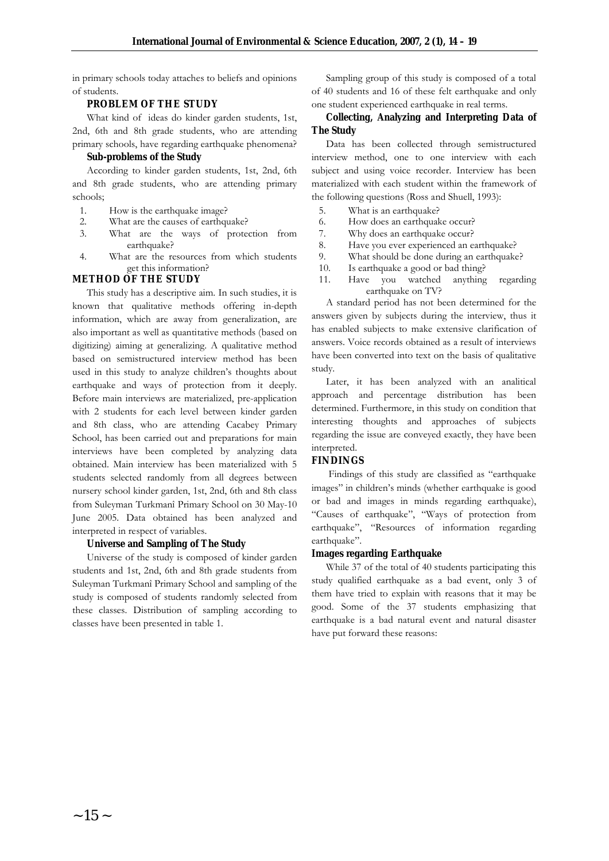in primary schools today attaches to beliefs and opinions of students.

### **PROBLEM OF THE STUDY**

What kind of ideas do kinder garden students, 1st, 2nd, 6th and 8th grade students, who are attending primary schools, have regarding earthquake phenomena?

#### **Sub-problems of the Study**

According to kinder garden students, 1st, 2nd, 6th and 8th grade students, who are attending primary schools;

- 1. How is the earthquake image?
- 2. What are the causes of earthquake?
- 3. What are the ways of protection from earthquake?
- 4. What are the resources from which students get this information?

### **METHOD OF THE STUDY**

This study has a descriptive aim. In such studies, it is known that qualitative methods offering in-depth information, which are away from generalization, are also important as well as quantitative methods (based on digitizing) aiming at generalizing. A qualitative method based on semistructured interview method has been used in this study to analyze children's thoughts about earthquake and ways of protection from it deeply. Before main interviews are materialized, pre-application with 2 students for each level between kinder garden and 8th class, who are attending Cacabey Primary School, has been carried out and preparations for main interviews have been completed by analyzing data obtained. Main interview has been materialized with 5 students selected randomly from all degrees between nursery school kinder garden, 1st, 2nd, 6th and 8th class from Suleyman Turkmanî Primary School on 30 May-10 June 2005. Data obtained has been analyzed and interpreted in respect of variables.

### **Universe and Sampling of The Study**

Universe of the study is composed of kinder garden students and 1st, 2nd, 6th and 8th grade students from Suleyman Turkmanî Primary School and sampling of the study is composed of students randomly selected from these classes. Distribution of sampling according to classes have been presented in table 1.

Sampling group of this study is composed of a total of 40 students and 16 of these felt earthquake and only one student experienced earthquake in real terms.

### **Collecting, Analyzing and Interpreting Data of The Study**

Data has been collected through semistructured interview method, one to one interview with each subject and using voice recorder. Interview has been materialized with each student within the framework of the following questions (Ross and Shuell, 1993):

- 5. What is an earthquake?
- 6. How does an earthquake occur?
- 7. Why does an earthquake occur?
- 8. Have you ever experienced an earthquake?
- 9. What should be done during an earthquake?
- 10. Is earthquake a good or bad thing?
- 11. Have you watched anything regarding earthquake on TV?

A standard period has not been determined for the answers given by subjects during the interview, thus it has enabled subjects to make extensive clarification of answers. Voice records obtained as a result of interviews have been converted into text on the basis of qualitative study.

Later, it has been analyzed with an analitical approach and percentage distribution has been determined. Furthermore, in this study on condition that interesting thoughts and approaches of subjects regarding the issue are conveyed exactly, they have been interpreted.

### **FINDINGS**

 Findings of this study are classified as "earthquake images" in children's minds (whether earthquake is good or bad and images in minds regarding earthquake), "Causes of earthquake", "Ways of protection from earthquake", "Resources of information regarding earthquake".

### **Images regarding Earthquake**

While 37 of the total of 40 students participating this study qualified earthquake as a bad event, only 3 of them have tried to explain with reasons that it may be good. Some of the 37 students emphasizing that earthquake is a bad natural event and natural disaster have put forward these reasons: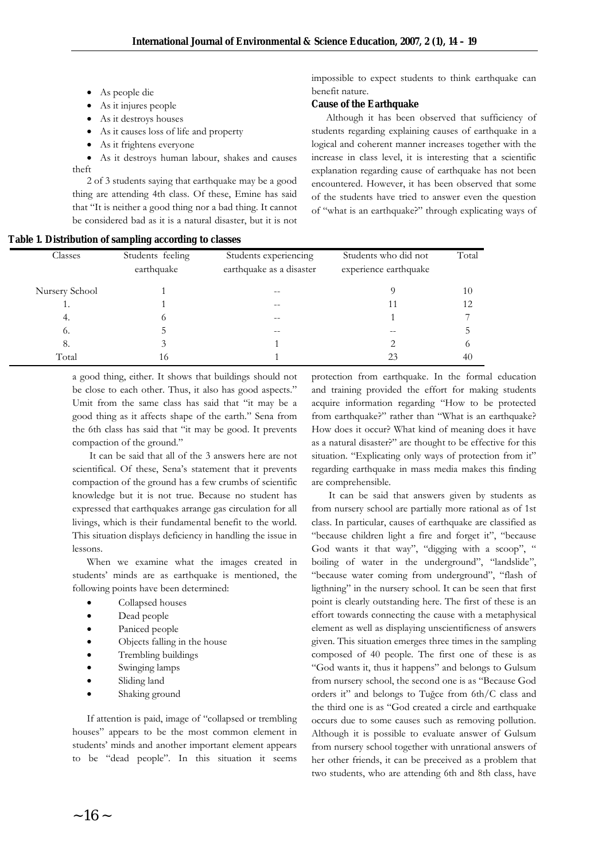- As people die
- As it injures people
- As it destroys houses
- As it causes loss of life and property
- As it frightens everyone
- As it destroys human labour, shakes and causes theft

2 of 3 students saying that earthquake may be a good thing are attending 4th class. Of these, Emine has said that "It is neither a good thing nor a bad thing. It cannot be considered bad as it is a natural disaster, but it is not

| Table 1. Distribution of sampling according to classes |  |  |  |  |  |  |  |
|--------------------------------------------------------|--|--|--|--|--|--|--|
|--------------------------------------------------------|--|--|--|--|--|--|--|

impossible to expect students to think earthquake can benefit nature.

#### **Cause of the Earthquake**

Although it has been observed that sufficiency of students regarding explaining causes of earthquake in a logical and coherent manner increases together with the increase in class level, it is interesting that a scientific explanation regarding cause of earthquake has not been encountered. However, it has been observed that some of the students have tried to answer even the question of "what is an earthquake?" through explicating ways of

| Classes        | Students feeling<br>earthquake | Students experiencing<br>earthquake as a disaster | Students who did not<br>experience earthquake | Total      |
|----------------|--------------------------------|---------------------------------------------------|-----------------------------------------------|------------|
| Nursery School |                                | --                                                |                                               | 10         |
| ı.             |                                |                                                   |                                               | 12         |
| 4.             | O                              | --                                                |                                               |            |
| 6.             |                                | --                                                |                                               |            |
| 8.             |                                |                                                   |                                               | $^{\circ}$ |
| Total          | 16                             |                                                   | 23                                            | 40         |

a good thing, either. It shows that buildings should not be close to each other. Thus, it also has good aspects." Umit from the same class has said that "it may be a good thing as it affects shape of the earth." Sena from the 6th class has said that "it may be good. It prevents compaction of the ground."

 It can be said that all of the 3 answers here are not scientifical. Of these, Sena's statement that it prevents compaction of the ground has a few crumbs of scientific knowledge but it is not true. Because no student has expressed that earthquakes arrange gas circulation for all livings, which is their fundamental benefit to the world. This situation displays deficiency in handling the issue in lessons.

When we examine what the images created in students' minds are as earthquake is mentioned, the following points have been determined:

- Collapsed houses
- Dead people
- Paniced people
- Objects falling in the house
- Trembling buildings
- Swinging lamps
- Sliding land
- Shaking ground

If attention is paid, image of "collapsed or trembling houses" appears to be the most common element in students' minds and another important element appears to be "dead people". In this situation it seems

protection from earthquake. In the formal education and training provided the effort for making students acquire information regarding "How to be protected from earthquake?" rather than "What is an earthquake? How does it occur? What kind of meaning does it have as a natural disaster?" are thought to be effective for this situation. "Explicating only ways of protection from it" regarding earthquake in mass media makes this finding are comprehensible.

 It can be said that answers given by students as from nursery school are partially more rational as of 1st class. In particular, causes of earthquake are classified as "because children light a fire and forget it", "because God wants it that way", "digging with a scoop", " boiling of water in the underground", "landslide", "because water coming from underground", "flash of ligthning" in the nursery school. It can be seen that first point is clearly outstanding here. The first of these is an effort towards connecting the cause with a metaphysical element as well as displaying unscientificness of answers given. This situation emerges three times in the sampling composed of 40 people. The first one of these is as "God wants it, thus it happens" and belongs to Gulsum from nursery school, the second one is as "Because God orders it" and belongs to Tuğce from 6th/C class and the third one is as "God created a circle and earthquake occurs due to some causes such as removing pollution. Although it is possible to evaluate answer of Gulsum from nursery school together with unrational answers of her other friends, it can be preceived as a problem that two students, who are attending 6th and 8th class, have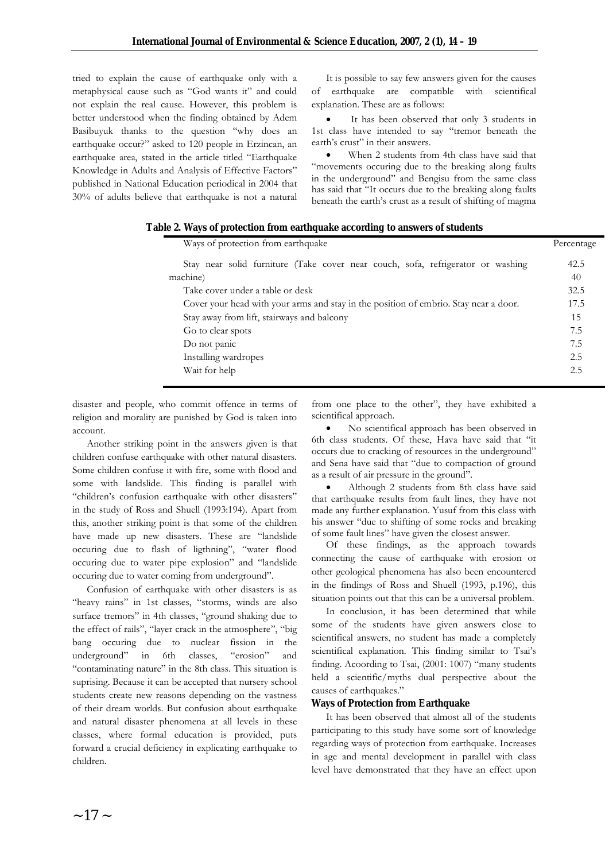tried to explain the cause of earthquake only with a metaphysical cause such as "God wants it" and could not explain the real cause. However, this problem is better understood when the finding obtained by Adem Basibuyuk thanks to the question "why does an earthquake occur?" asked to 120 people in Erzincan, an earthquake area, stated in the article titled "Earthquake Knowledge in Adults and Analysis of Effective Factors" published in National Education periodical in 2004 that 30% of adults believe that earthquake is not a natural

It is possible to say few answers given for the causes of earthquake are compatible with scientifical explanation. These are as follows:

 It has been observed that only 3 students in 1st class have intended to say "tremor beneath the earth's crust" in their answers.

 When 2 students from 4th class have said that "movements occuring due to the breaking along faults in the underground" and Bengisu from the same class has said that "It occurs due to the breaking along faults beneath the earth's crust as a result of shifting of magma

| Ways of protection from earthquake                                                   | Percentage |
|--------------------------------------------------------------------------------------|------------|
| Stay near solid furniture (Take cover near couch, sofa, refrigerator or washing      | 42.5       |
| machine)                                                                             | 40         |
| Take cover under a table or desk                                                     | 32.5       |
| Cover your head with your arms and stay in the position of embrio. Stay near a door. | 17.5       |
| Stay away from lift, stairways and balcony                                           | 15         |
| Go to clear spots                                                                    | 7.5        |
| Do not panic                                                                         | 7.5        |
| Installing wardropes                                                                 | 2.5        |
| Wait for help                                                                        | 2.5        |
|                                                                                      |            |

 **Table 2. Ways of protection from earthquake according to answers of students**

disaster and people, who commit offence in terms of religion and morality are punished by God is taken into account.

Another striking point in the answers given is that children confuse earthquake with other natural disasters. Some children confuse it with fire, some with flood and some with landslide. This finding is parallel with "children's confusion earthquake with other disasters" in the study of Ross and Shuell (1993:194). Apart from this, another striking point is that some of the children have made up new disasters. These are "landslide occuring due to flash of ligthning", "water flood occuring due to water pipe explosion" and "landslide occuring due to water coming from underground".

Confusion of earthquake with other disasters is as "heavy rains" in 1st classes, "storms, winds are also surface tremors" in 4th classes, "ground shaking due to the effect of rails", "layer crack in the atmosphere", "big bang occuring due to nuclear fission in the underground" in 6th classes, "erosion" and "contaminating nature" in the 8th class. This situation is suprising. Because it can be accepted that nursery school students create new reasons depending on the vastness of their dream worlds. But confusion about earthquake and natural disaster phenomena at all levels in these classes, where formal education is provided, puts forward a crucial deficiency in explicating earthquake to children.

from one place to the other", they have exhibited a scientifical approach.

 No scientifical approach has been observed in 6th class students. Of these, Hava have said that "it occurs due to cracking of resources in the underground" and Sena have said that "due to compaction of ground as a result of air pressure in the ground".

 Although 2 students from 8th class have said that earthquake results from fault lines, they have not made any further explanation. Yusuf from this class with his answer "due to shifting of some rocks and breaking of some fault lines" have given the closest answer.

Of these findings, as the approach towards connecting the cause of earthquake with erosion or other geological phenomena has also been encountered in the findings of Ross and Shuell (1993, p.196), this situation points out that this can be a universal problem.

In conclusion, it has been determined that while some of the students have given answers close to scientifical answers, no student has made a completely scientifical explanation. This finding similar to Tsai's finding. Acoording to Tsai, (2001: 1007) "many students held a scientific/myths dual perspective about the causes of earthquakes."

### **Ways of Protection from Earthquake**

It has been observed that almost all of the students participating to this study have some sort of knowledge regarding ways of protection from earthquake. Increases in age and mental development in parallel with class level have demonstrated that they have an effect upon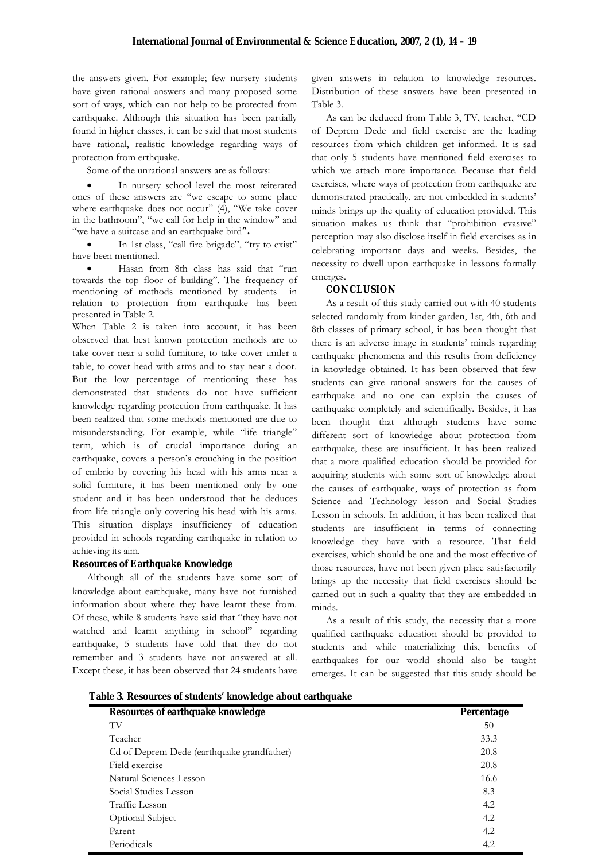the answers given. For example; few nursery students have given rational answers and many proposed some sort of ways, which can not help to be protected from earthquake. Although this situation has been partially found in higher classes, it can be said that most students have rational, realistic knowledge regarding ways of protection from erthquake.

Some of the unrational answers are as follows:

 In nursery school level the most reiterated ones of these answers are "we escape to some place where earthquake does not occur" (4), "We take cover in the bathroom", "we call for help in the window" and "we have a suitcase and an earthquake bird**".**

 In 1st class, "call fire brigade", "try to exist" have been mentioned.

 Hasan from 8th class has said that "run towards the top floor of building". The frequency of mentioning of methods mentioned by students in relation to protection from earthquake has been presented in Table 2.

When Table 2 is taken into account, it has been observed that best known protection methods are to take cover near a solid furniture, to take cover under a table, to cover head with arms and to stay near a door. But the low percentage of mentioning these has demonstrated that students do not have sufficient knowledge regarding protection from earthquake. It has been realized that some methods mentioned are due to misunderstanding. For example, while "life triangle" term, which is of crucial importance during an earthquake, covers a person's crouching in the position of embrio by covering his head with his arms near a solid furniture, it has been mentioned only by one student and it has been understood that he deduces from life triangle only covering his head with his arms. This situation displays insufficiency of education provided in schools regarding earthquake in relation to achieving its aim.

### **Resources of Earthquake Knowledge**

Although all of the students have some sort of knowledge about earthquake, many have not furnished information about where they have learnt these from. Of these, while 8 students have said that "they have not watched and learnt anything in school" regarding earthquake, 5 students have told that they do not remember and 3 students have not answered at all. Except these, it has been observed that 24 students have given answers in relation to knowledge resources. Distribution of these answers have been presented in Table 3.

As can be deduced from Table 3, TV, teacher, "CD of Deprem Dede and field exercise are the leading resources from which children get informed. It is sad that only 5 students have mentioned field exercises to which we attach more importance. Because that field exercises, where ways of protection from earthquake are demonstrated practically, are not embedded in students' minds brings up the quality of education provided. This situation makes us think that "prohibition evasive" perception may also disclose itself in field exercises as in celebrating important days and weeks. Besides, the necessity to dwell upon earthquake in lessons formally emerges.

### **CONCLUSION**

As a result of this study carried out with 40 students selected randomly from kinder garden, 1st, 4th, 6th and 8th classes of primary school, it has been thought that there is an adverse image in students' minds regarding earthquake phenomena and this results from deficiency in knowledge obtained. It has been observed that few students can give rational answers for the causes of earthquake and no one can explain the causes of earthquake completely and scientifically. Besides, it has been thought that although students have some different sort of knowledge about protection from earthquake, these are insufficient. It has been realized that a more qualified education should be provided for acquiring students with some sort of knowledge about the causes of earthquake, ways of protection as from Science and Technology lesson and Social Studies Lesson in schools. In addition, it has been realized that students are insufficient in terms of connecting knowledge they have with a resource. That field exercises, which should be one and the most effective of those resources, have not been given place satisfactorily brings up the necessity that field exercises should be carried out in such a quality that they are embedded in minds.

As a result of this study, the necessity that a more qualified earthquake education should be provided to students and while materializing this, benefits of earthquakes for our world should also be taught emerges. It can be suggested that this study should be

**Table 3. Resources of students' knowledge about earthquake** 

| Resources of earthquake knowledge          | Percentage |
|--------------------------------------------|------------|
| TV                                         | 50         |
| Teacher                                    | 33.3       |
| Cd of Deprem Dede (earthquake grandfather) | 20.8       |
| Field exercise                             | 20.8       |
| Natural Sciences Lesson                    | 16.6       |
| Social Studies Lesson                      | 8.3        |
| Traffic Lesson                             | 4.2        |
| Optional Subject                           | 4.2        |
| Parent                                     | 4.2        |
| Periodicals                                | 4.2        |